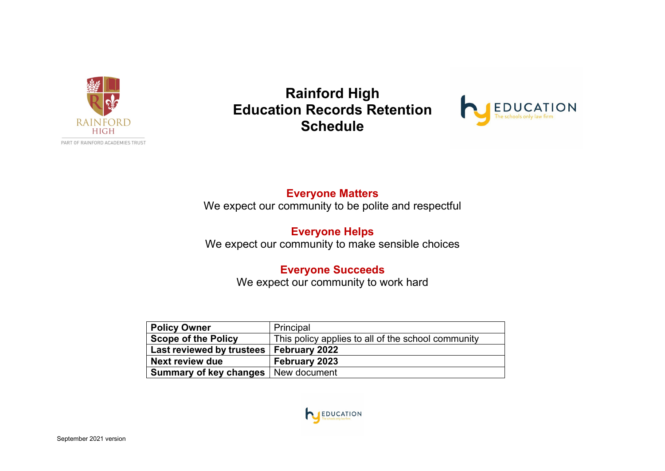

**Rainford High Education Records Retention Schedule**



## **Everyone Matters**

We expect our community to be polite and respectful

## **Everyone Helps** We expect our community to make sensible choices

# **Everyone Succeeds**

We expect our community to work hard

| <b>Policy Owner</b>        | Principal                                          |
|----------------------------|----------------------------------------------------|
| <b>Scope of the Policy</b> | This policy applies to all of the school community |
| Last reviewed by trustees  | <b>February 2022</b>                               |
| Next review due            | February 2023                                      |
| Summary of key changes     | New document                                       |

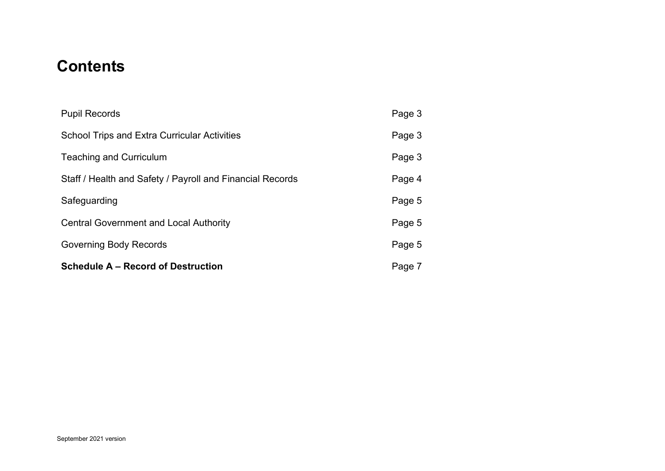# **Contents**

| <b>Schedule A – Record of Destruction</b>                 | Page 7 |
|-----------------------------------------------------------|--------|
| <b>Governing Body Records</b>                             | Page 5 |
| <b>Central Government and Local Authority</b>             | Page 5 |
| Safeguarding                                              | Page 5 |
| Staff / Health and Safety / Payroll and Financial Records | Page 4 |
| <b>Teaching and Curriculum</b>                            | Page 3 |
| <b>School Trips and Extra Curricular Activities</b>       | Page 3 |
| <b>Pupil Records</b>                                      | Page 3 |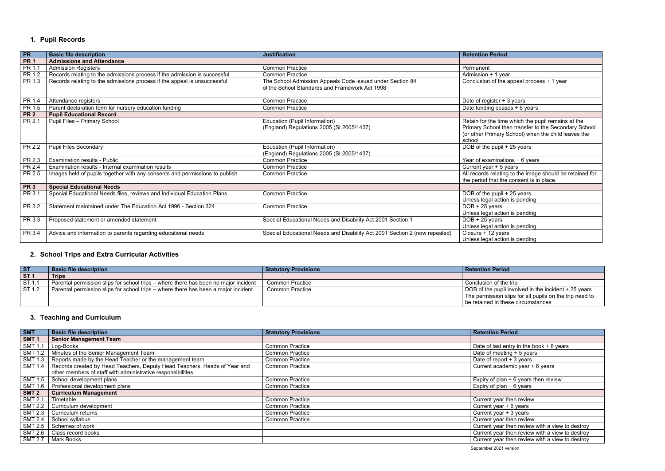### <span id="page-2-0"></span>**1. Pupil Records**

<span id="page-2-1"></span>

| PR              | <b>Basic file description</b>                                               | <b>Justification</b>                                                                                        | <b>Retention Period</b>                                                                                                                                                     |
|-----------------|-----------------------------------------------------------------------------|-------------------------------------------------------------------------------------------------------------|-----------------------------------------------------------------------------------------------------------------------------------------------------------------------------|
| PR <sub>1</sub> | <b>Admissions and Attendance</b>                                            |                                                                                                             |                                                                                                                                                                             |
| PR 1.1          | <b>Admission Registers</b>                                                  | <b>Common Practice</b>                                                                                      | Permanent                                                                                                                                                                   |
| PR 1.2          | Records relating to the admissions process if the admission is successful   | <b>Common Practice</b>                                                                                      | Admission + 1 year                                                                                                                                                          |
| PR 1.3          | Records relating to the admissions process if the appeal is unsuccessful    | The School Admission Appeals Code issued under Section 84<br>of the School Standards and Framework Act 1998 | Conclusion of the appeal process + 1 year                                                                                                                                   |
| PR 1.4          | Attendance registers                                                        | <b>Common Practice</b>                                                                                      | Date of register + 3 years                                                                                                                                                  |
| PR 1.5          | Parent declaration form for nursery education funding                       | <b>Common Practice</b>                                                                                      | Date funding ceases + 6 years                                                                                                                                               |
| <b>PR 2</b>     | <b>Pupil Educational Record</b>                                             |                                                                                                             |                                                                                                                                                                             |
| PR 2.1          | <b>Pupil Files - Primary School</b>                                         | Education (Pupil Information)<br>(England) Regulations 2005 (SI 2005/1437)                                  | Retain for the time which the pupil remains at the<br>Primary School then transfer to the Secondary School<br>(or other Primary School) when the child leaves the<br>school |
| PR 2.2          | <b>Pupil Files Secondary</b>                                                | Education (Pupil Information)<br>(England) Regulations 2005 (SI 2005/1437)                                  | DOB of the pupil + 25 years                                                                                                                                                 |
| PR 2.3          | <b>Examination results - Public</b>                                         | <b>Common Practice</b>                                                                                      | Year of examinations + 6 years                                                                                                                                              |
| PR 2.4          | Examination results - Internal examination results                          | <b>Common Practice</b>                                                                                      | Current year + 5 years                                                                                                                                                      |
| PR 2.5          | Images held of pupils together with any consents and permissions to publish | <b>Common Practice</b>                                                                                      | All records relating to the image should be retained for<br>the period that the consent is in place.                                                                        |
| PR <sub>3</sub> | <b>Special Educational Needs</b>                                            |                                                                                                             |                                                                                                                                                                             |
| PR 3.1          | Special Educational Needs files, reviews and Individual Education Plans     | <b>Common Practice</b>                                                                                      | DOB of the pupil + 25 years<br>Unless legal action is pending                                                                                                               |
| PR 3.2          | Statement maintained under The Education Act 1996 - Section 324             | <b>Common Practice</b>                                                                                      | DOB + 25 years<br>Unless legal action is pending                                                                                                                            |
| PR 3.3          | Proposed statement or amended statement                                     | Special Educational Needs and Disability Act 2001 Section 1                                                 | $DOB + 25$ years<br>Unless legal action is pending                                                                                                                          |
| PR 3.4          | Advice and information to parents regarding educational needs               | Special Educational Needs and Disability Act 2001 Section 2 (now repealed)                                  | Closure + 12 years<br>Unless legal action is pending                                                                                                                        |

## <span id="page-2-2"></span>**2. School Trips and Extra Curricular Activities**

| <b>ST</b>       | <b>Basic file description</b>                                                       | <b>Statutory Provisions</b> | <b>Retention Period</b>                                 |
|-----------------|-------------------------------------------------------------------------------------|-----------------------------|---------------------------------------------------------|
| ST <sub>1</sub> | <b>Trips</b>                                                                        |                             |                                                         |
| ST 1.1          | Parental permission slips for school trips – where there has been no major incident | Common Practice             | l Conclusion of the trip                                |
| ST 1.2          | Parental permission slips for school trips – where there has been a major incident  | Common Practice             | DOB of the pupil involved in the incident + 25 years    |
|                 |                                                                                     |                             | The permission slips for all pupils on the trip need to |
|                 |                                                                                     |                             | I be retained in these circumstances                    |

The permission slips for all pupils on the trip need to be retained in these circumstances

# **3. Teaching and Curriculum**

| <b>SMT</b>       | <b>Basic file description</b>                                                       | <b>Statutory Provisions</b> | <b>Retention Period</b>                         |
|------------------|-------------------------------------------------------------------------------------|-----------------------------|-------------------------------------------------|
| SMT <sub>1</sub> | <b>Senior Management Team</b>                                                       |                             |                                                 |
| <b>SMT 1.1</b>   | Log-Books                                                                           | <b>Common Practice</b>      | Date of last entry in the book $+6$ years       |
| <b>SMT 1.2</b>   | Minutes of the Senior Management Team                                               | <b>Common Practice</b>      | Date of meeting $+5$ years                      |
|                  | SMT 1.3   Reports made by the Head Teacher or the management team                   | <b>Common Practice</b>      | Date of report + 3 years                        |
|                  | SMT 1.4   Records created by Head Teachers, Deputy Head Teachers, Heads of Year and | <b>Common Practice</b>      | Current academic year + 6 years                 |
|                  | other members of staff with administrative responsibilities                         |                             |                                                 |
| <b>SMT 1.5</b>   | School development plans                                                            | <b>Common Practice</b>      | Expiry of plan $+6$ years then review           |
| <b>SMT 1.6</b>   | Professional development plans                                                      | <b>Common Practice</b>      | Expiry of plan + 6 years                        |
| SMT <sub>2</sub> | <b>Curriculum Management</b>                                                        |                             |                                                 |
| <b>SMT 2.1</b>   | Timetable                                                                           | <b>Common Practice</b>      | Current year then review                        |
| <b>SMT 2.2</b>   | Curriculum development                                                              | <b>Common Practice</b>      | Current year $+6$ years                         |
| <b>SMT 2.3</b>   | Curriculum returns                                                                  | <b>Common Practice</b>      | Current year $+3$ years                         |
| <b>SMT 2.4</b>   | School syllabus                                                                     | <b>Common Practice</b>      | Current year then review                        |
| SMT 2.5          | Schemes of work                                                                     |                             | Current year then review with a view to destroy |
|                  | SMT 2.6   Class record books                                                        |                             | Current year then review with a view to destroy |
|                  | SMT 2.7   Mark Books                                                                |                             | Current year then review with a view to destroy |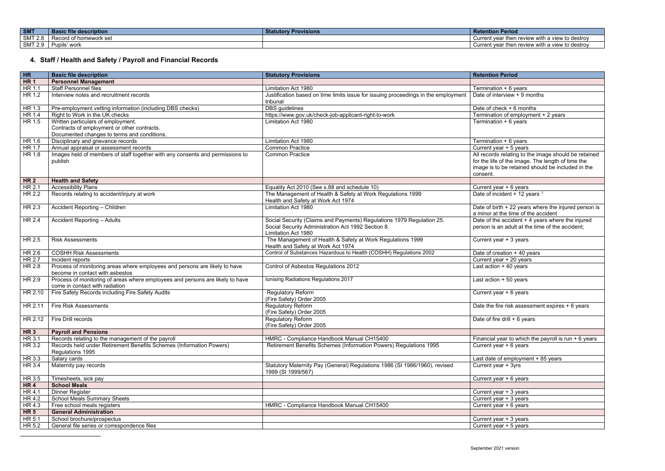<span id="page-3-1"></span><span id="page-3-0"></span>

| <b>SMT</b>                      | : file description_<br>- Bası | Provisions<br><b>Statutory</b> | tention Period<br><b>INGL</b>                                               |
|---------------------------------|-------------------------------|--------------------------------|-----------------------------------------------------------------------------|
| CMT 2<br>$\sim$<br>L.U<br>UNI L | omework set<br>$\sim$ $\sim$  |                                | unen review wit'<br>∴destro∨<br>Current vear<br>vith a viev<br>⊿ view to de |
| $CMT$ $\sim$<br>UIII            | upils'<br>worl                |                                | r then review with a view to de<br>Current vear<br>∴destro∨                 |

# **4. Staff / Health and Safety / Payroll and Financial Records**

| H               | <b>Basic file description</b>                                                                                   | <b>Statutory Provisions</b>                                                                                                                        | <b>Retention Period</b>                                                                                                                                                    |
|-----------------|-----------------------------------------------------------------------------------------------------------------|----------------------------------------------------------------------------------------------------------------------------------------------------|----------------------------------------------------------------------------------------------------------------------------------------------------------------------------|
| HR <sub>1</sub> | <b>Personnel Management</b>                                                                                     |                                                                                                                                                    |                                                                                                                                                                            |
| HR 1.1          | <b>Staff Personnel files</b>                                                                                    | Limitation Act 1980                                                                                                                                | Termination + 6 years                                                                                                                                                      |
| HR 1.2          | Interview notes and recruitment records                                                                         | Justification based on time limits issue for issuing proceedings in the employment                                                                 | Date of interview + 9 months                                                                                                                                               |
|                 |                                                                                                                 | tribunal                                                                                                                                           |                                                                                                                                                                            |
| HR 1.3          | Pre-employment vetting information (including DBS checks)                                                       | DBS guidelines                                                                                                                                     | Date of check + 6 months                                                                                                                                                   |
| HR 1.4          | Right to Work in the UK checks                                                                                  | https://www.gov.uk/check-job-applicant-right-to-work                                                                                               | Termination of employment + 2 years                                                                                                                                        |
| HR 1.5          | Written particulars of employment.                                                                              | Limitation Act 1980                                                                                                                                | Termination + 6 years                                                                                                                                                      |
|                 | Contracts of employment or other contracts.                                                                     |                                                                                                                                                    |                                                                                                                                                                            |
|                 | Documented changes to terms and conditions.                                                                     |                                                                                                                                                    |                                                                                                                                                                            |
| HR 1.6          | Disciplinary and grievance records                                                                              | Limitation Act 1980                                                                                                                                | Termination + 6 years                                                                                                                                                      |
| HR 1.7          | Annual appraisal or assessment records                                                                          | <b>Common Practice</b>                                                                                                                             | Current year + 5 years                                                                                                                                                     |
| HR 1.8          | Images held of members of staff together with any consents and permissions to<br>publish                        | <b>Common Practice</b>                                                                                                                             | All records relating to the image should be retained<br>for the life of the image. The length of time the<br>image is to be retained should be included in the<br>consent. |
| <b>HR2</b>      | <b>Health and Safety</b>                                                                                        |                                                                                                                                                    |                                                                                                                                                                            |
| HR 2.1          | <b>Accessibility Plans</b>                                                                                      | Equality Act 2010 (See s.88 and schedule 10)                                                                                                       | Current year + 6 years                                                                                                                                                     |
| HR 2.2          | Records relating to accident/injury at work                                                                     | The Management of Health & Safety at Work Regulations 1999<br>Health and Safety at Work Act 1974                                                   | Date of incident + 12 years 1                                                                                                                                              |
| HR 2.3          | Accident Reporting - Children                                                                                   | Limitation Act 1980                                                                                                                                | Date of birth + 22 years where the injured person is<br>a minor at the time of the accident                                                                                |
| HR 2.4          | <b>Accident Reporting - Adults</b>                                                                              | Social Security (Claims and Payments) Regulations 1979 Regulation 25.<br>Social Security Administration Act 1992 Section 8.<br>Limitation Act 1980 | Date of the accident + 4 years where the injured<br>person is an adult at the time of the accident;                                                                        |
| HR 2.5          | <b>Risk Assessments</b>                                                                                         | The Management of Health & Safety at Work Regulations 1999<br>Health and Safety at Work Act 1974                                                   | Current year + 3 years                                                                                                                                                     |
| HR 2.6          | <b>COSHH Risk Assessments</b>                                                                                   | Control of Substances Hazardous to Health (COSHH) Regulations 2002                                                                                 | Date of creation + 40 years                                                                                                                                                |
| HR 2.7          | Incident reports                                                                                                |                                                                                                                                                    | Current year + 20 years                                                                                                                                                    |
| HR 2.8          | Process of monitoring areas where employees and persons are likely to have<br>become in contact with asbestos   | Control of Asbestos Regulations 2012                                                                                                               | Last action $+40$ years                                                                                                                                                    |
| HR 2.9          | Process of monitoring of areas where employees and persons are likely to have<br>come in contact with radiation | Ionising Radiations Regulations 2017                                                                                                               | Last action $+50$ years                                                                                                                                                    |
| HR 2.10         | Fire Safety Records including Fire Safety Audits                                                                | Regulatory Reform<br>(Fire Safety) Order 2005                                                                                                      | Current year + 6 years                                                                                                                                                     |
| HR 2.11         | <b>Fire Risk Assessments</b>                                                                                    | <b>Regulatory Reform</b><br>(Fire Safety) Order 2005                                                                                               | Date the fire risk assessment expires + 6 years                                                                                                                            |
|                 | HR 2.12   Fire Drill records                                                                                    | Regulatory Reform<br>(Fire Safety) Order 2005                                                                                                      | Date of fire drill $+6$ years                                                                                                                                              |
| HR <sub>3</sub> | <b>Payroll and Pensions</b>                                                                                     |                                                                                                                                                    |                                                                                                                                                                            |
| HR 3.1          | Records relating to the management of the payroll                                                               | HMRC - Compliance Handbook Manual CH15400                                                                                                          | Financial year to which the payroll is run $+6$ years                                                                                                                      |
| HR 3.2          | Records held under Retirement Benefits Schemes (Information Powers)<br>Regulations 1995                         | Retirement Benefits Schemes (Information Powers) Regulations 1995                                                                                  | Current year + 6 years                                                                                                                                                     |
| HR 3.3          | Salary cards                                                                                                    |                                                                                                                                                    | Last date of employment + 85 years                                                                                                                                         |
| HR 3.4          | Maternity pay records                                                                                           | Statutory Maternity Pay (General) Regulations 1986 (SI 1986/1960), revised<br>1999 (SI 1999/567)                                                   | Current year + 3yrs                                                                                                                                                        |
| HR 3.5          | Timesheets, sick pay                                                                                            |                                                                                                                                                    | Current year + 6 years                                                                                                                                                     |
| <b>HR4</b>      | <b>School Meals</b>                                                                                             |                                                                                                                                                    |                                                                                                                                                                            |
| HR 4.1          | <b>Dinner Register</b>                                                                                          |                                                                                                                                                    | Current year + 3 years                                                                                                                                                     |
| HR 4.2          | <b>School Meals Summary Sheets</b>                                                                              |                                                                                                                                                    | Current year + 3 years                                                                                                                                                     |
| HR 4.3          | Free school meals registers                                                                                     | HMRC - Compliance Handbook Manual CH15400                                                                                                          | Current year + 6 years                                                                                                                                                     |
| <b>HR 5</b>     | <b>General Administration</b>                                                                                   |                                                                                                                                                    |                                                                                                                                                                            |
| HR 5.1          | School brochure/prospectus                                                                                      |                                                                                                                                                    | Current year + 3 years                                                                                                                                                     |
| HR 5.2          | General file series or correspondence files                                                                     |                                                                                                                                                    | Current year + 5 years                                                                                                                                                     |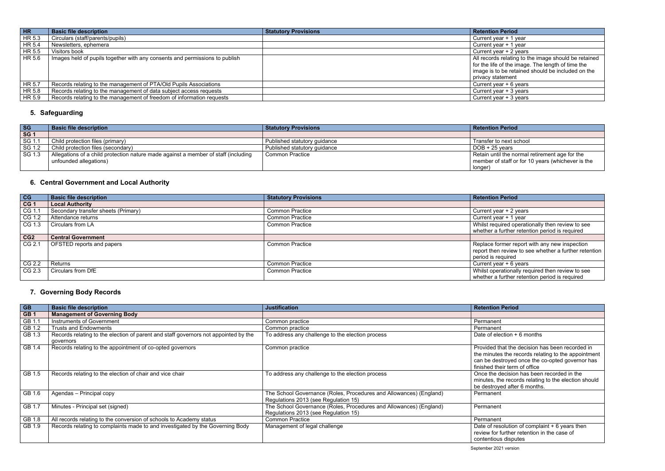the normal retirement age for the staff or for 10 years (whichever is the

 $\frac{C - C}{C}$ <br>  $\frac{C - C}{C}$  operationally then review to see<br>
ired operationally then review to see irther retention period is required

mer report with any new inspection review to see whether a further retention <mark>quired</mark><br>r + 6 years

ationally required then review to see urther retention period is required

 $\cot$  and  $\cot$  + 6 months

at the decision has been recorded in the minutes the records relating to the appointment can be destroyed once the co-opted governor has  $\mathop{\mathsf{ir}}$  ferm of office

ecision has been recorded in the records relating to the election should ed after 6 months.

olution of complaint + 6 years then  $ur$ ther retention in the case of disputes

<span id="page-4-1"></span><span id="page-4-0"></span>

| <b>HR</b> | <b>Basic file description</b>                                               | <b>Statutory Provisions</b> | <b>Retention Period</b>                                                                                                                                                             |
|-----------|-----------------------------------------------------------------------------|-----------------------------|-------------------------------------------------------------------------------------------------------------------------------------------------------------------------------------|
| HR 5.3    | Circulars (staff/parents/pupils)                                            |                             | Current year + 1 year                                                                                                                                                               |
| HR 5.4    | Newsletters, ephemera                                                       |                             | Current year + 1 year                                                                                                                                                               |
| HR 5.5    | Visitors book                                                               |                             | Current year + 2 years                                                                                                                                                              |
| $H$ R 5.6 | Images held of pupils together with any consents and permissions to publish |                             | All records relating to the image should be retained<br>for the life of the image. The length of time the<br>image is to be retained should be included on the<br>privacy statement |
| HR 5.7    | Records relating to the management of PTA/Old Pupils Associations           |                             | Current year + 6 years                                                                                                                                                              |
| HR 5.8    | Records relating to the management of data subject access requests          |                             | Current year $+3$ years                                                                                                                                                             |
| HR 5.9    | Records relating to the management of freedom of information requests       |                             | Current year $+3$ years                                                                                                                                                             |

### **5. Safeguarding**

<span id="page-4-2"></span>

| <b>SG</b>  | <b>Basic file description</b>                                                      | <b>Statutory Provisions</b>  | <b>Retention Period</b>  |
|------------|------------------------------------------------------------------------------------|------------------------------|--------------------------|
| <b>SG1</b> |                                                                                    |                              |                          |
| SG 1.1     | Child protection files (primary)                                                   | Published statutory guidance | Transfer to next school  |
| SG 1.2     | Child protection files (secondary)                                                 | Published statutory guidance | $DOB + 25$ years         |
| SG 1.3     | Allegations of a child protection nature made against a member of staff (including | Common Practice              | Retain until the normal  |
|            | unfounded allegations)                                                             |                              | member of staff or for 1 |
|            |                                                                                    |                              | longer)                  |

### **6. Central Government and Local Authority**

| CG              | <b>Basic file description</b>       | <b>Statutory Provisions</b> | <b>Retention Period</b> |
|-----------------|-------------------------------------|-----------------------------|-------------------------|
| CG <sub>1</sub> | <b>Local Authority</b>              |                             |                         |
| CG 1.1          | Secondary transfer sheets (Primary) | <b>Common Practice</b>      | Current year + 2 years  |
| CG 1.2          | Attendance returns                  | <b>Common Practice</b>      | Current year + 1 year   |
| CG 1.3          | Circulars from LA                   | <b>Common Practice</b>      | Whilst required operat  |
|                 |                                     |                             | whether a further reter |
| CG2             | <b>Central Government</b>           |                             |                         |
| CG 2.1          | OFSTED reports and papers           | <b>Common Practice</b>      | Replace former report   |
|                 |                                     |                             | report then review to s |
|                 |                                     |                             | period is required      |
| CG 2.2          | Returns                             | <b>Common Practice</b>      | Current year + 6 years  |
| CG 2.3          | Circulars from DfE                  | <b>Common Practice</b>      | Whilst operationally re |
|                 |                                     |                             | whether a further reter |

### **7. Governing Body Records**

| <b>GB</b>       | <b>Basic file description</b>                                                                    | <b>Justification</b>                                                                                       | <b>Retention Period</b>                                                            |
|-----------------|--------------------------------------------------------------------------------------------------|------------------------------------------------------------------------------------------------------------|------------------------------------------------------------------------------------|
| GB <sub>1</sub> | <b>Management of Governing Body</b>                                                              |                                                                                                            |                                                                                    |
| GB 1.1          | Instruments of Government                                                                        | Common practice                                                                                            | Permanent                                                                          |
| GB 1.2          | <b>Trusts and Endowments</b>                                                                     | Common practice                                                                                            | Permanent                                                                          |
| GB 1.3          | Records relating to the election of parent and staff governors not appointed by the<br>governors | To address any challenge to the election process                                                           | Date of election +                                                                 |
| GB 1.4          | Records relating to the appointment of co-opted governors                                        | Common practice                                                                                            | Provided that the<br>the minutes the re<br>can be destroyed<br>finished their term |
| GB 1.5          | Records relating to the election of chair and vice chair                                         | To address any challenge to the election process                                                           | Once the decision<br>minutes, the recor<br>be destroyed after                      |
| GB 1.6          | Agendas - Principal copy                                                                         | The School Governance (Roles, Procedures and Allowances) (England)<br>Regulations 2013 (see Regulation 15) | Permanent                                                                          |
| GB 1.7          | Minutes - Principal set (signed)                                                                 | The School Governance (Roles, Procedures and Allowances) (England)<br>Regulations 2013 (see Regulation 15) | Permanent                                                                          |
| GB 1.8          | All records relating to the conversion of schools to Academy status                              | <b>Common Practice</b>                                                                                     | Permanent                                                                          |
| GB 1.9          | Records relating to complaints made to and investigated by the Governing Body                    | Management of legal challenge                                                                              | Date of resolution<br>review for further<br>contentious disput                     |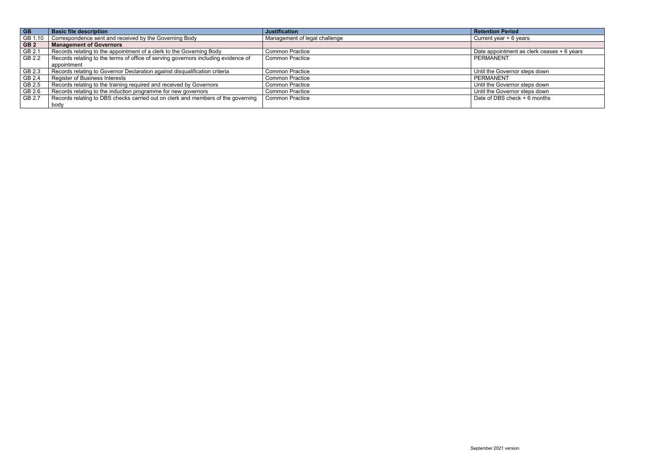| <b>GB</b>       | <b>Basic file description</b>                                                      | <b>Justification</b>          | <b>Retention Period</b>                    |
|-----------------|------------------------------------------------------------------------------------|-------------------------------|--------------------------------------------|
| GB 1.10         | Correspondence sent and received by the Governing Body                             | Management of legal challenge | Current year $+6$ years                    |
| GB <sub>2</sub> | <b>Management of Governors</b>                                                     |                               |                                            |
| GB 2.1          | Records relating to the appointment of a clerk to the Governing Body               | <b>Common Practice</b>        | Date appointment as clerk ceases + 6 years |
| GB 2.2          | Records relating to the terms of office of serving governors including evidence of | <b>Common Practice</b>        | PERMANENT                                  |
|                 | appointment                                                                        |                               |                                            |
| GB 2.3          | Records relating to Governor Declaration against disqualification criteria         | <b>Common Practice</b>        | Until the Governor steps down              |
| GB 2.4          | <b>Register of Business Interests</b>                                              | <b>Common Practice</b>        | PERMANENT                                  |
| GB 2.5          | Records relating to the training required and received by Governors                | <b>Common Practice</b>        | Until the Governor steps down              |
| GB 2.6          | Records relating to the induction programme for new governors                      | <b>Common Practice</b>        | Until the Governor steps down              |
| GB 2.7          | Records relating to DBS checks carried out on clerk and members of the governing   | <b>Common Practice</b>        | Date of DBS check $+6$ months              |
|                 | body                                                                               |                               |                                            |